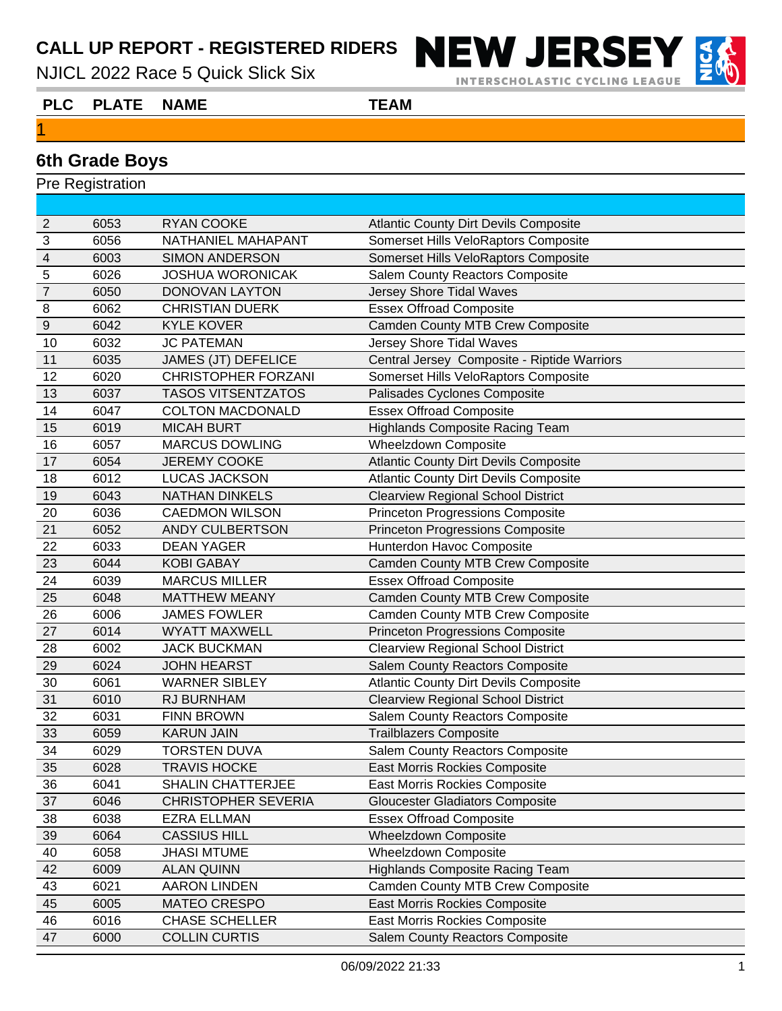NJICL 2022 Race 5 Quick Slick Six

**NEW JERSE INTERSCHOLASTIC CYCLING LEAGUE** 

**PLC PLATE NAME TEAM**

### **6th Grade Boys**

Pre Registration

| 2                        | 6053 | <b>RYAN COOKE</b>          | <b>Atlantic County Dirt Devils Composite</b> |
|--------------------------|------|----------------------------|----------------------------------------------|
| 3                        | 6056 | NATHANIEL MAHAPANT         | Somerset Hills VeloRaptors Composite         |
| $\overline{\mathcal{A}}$ | 6003 | <b>SIMON ANDERSON</b>      | Somerset Hills VeloRaptors Composite         |
| 5                        | 6026 | <b>JOSHUA WORONICAK</b>    | <b>Salem County Reactors Composite</b>       |
| $\overline{7}$           | 6050 | DONOVAN LAYTON             | Jersey Shore Tidal Waves                     |
| 8                        | 6062 | <b>CHRISTIAN DUERK</b>     | <b>Essex Offroad Composite</b>               |
| $\overline{9}$           | 6042 | <b>KYLE KOVER</b>          | <b>Camden County MTB Crew Composite</b>      |
| 10                       | 6032 | <b>JC PATEMAN</b>          | Jersey Shore Tidal Waves                     |
| 11                       | 6035 | <b>JAMES (JT) DEFELICE</b> | Central Jersey Composite - Riptide Warriors  |
| 12                       | 6020 | <b>CHRISTOPHER FORZANI</b> | Somerset Hills VeloRaptors Composite         |
| 13                       | 6037 | <b>TASOS VITSENTZATOS</b>  | Palisades Cyclones Composite                 |
| 14                       | 6047 | <b>COLTON MACDONALD</b>    | <b>Essex Offroad Composite</b>               |
| 15                       | 6019 | <b>MICAH BURT</b>          | <b>Highlands Composite Racing Team</b>       |
| 16                       | 6057 | <b>MARCUS DOWLING</b>      | Wheelzdown Composite                         |
| 17                       | 6054 | <b>JEREMY COOKE</b>        | <b>Atlantic County Dirt Devils Composite</b> |
| 18                       | 6012 | <b>LUCAS JACKSON</b>       | <b>Atlantic County Dirt Devils Composite</b> |
| 19                       | 6043 | <b>NATHAN DINKELS</b>      | <b>Clearview Regional School District</b>    |
| 20                       | 6036 | <b>CAEDMON WILSON</b>      | <b>Princeton Progressions Composite</b>      |
| 21                       | 6052 | <b>ANDY CULBERTSON</b>     | <b>Princeton Progressions Composite</b>      |
| 22                       | 6033 | <b>DEAN YAGER</b>          | Hunterdon Havoc Composite                    |
| 23                       | 6044 | <b>KOBI GABAY</b>          | <b>Camden County MTB Crew Composite</b>      |
| 24                       | 6039 | <b>MARCUS MILLER</b>       | <b>Essex Offroad Composite</b>               |
| 25                       | 6048 | <b>MATTHEW MEANY</b>       | <b>Camden County MTB Crew Composite</b>      |
| 26                       | 6006 | <b>JAMES FOWLER</b>        | <b>Camden County MTB Crew Composite</b>      |
| 27                       | 6014 | <b>WYATT MAXWELL</b>       | <b>Princeton Progressions Composite</b>      |
| 28                       | 6002 | <b>JACK BUCKMAN</b>        | <b>Clearview Regional School District</b>    |
| 29                       | 6024 | <b>JOHN HEARST</b>         | <b>Salem County Reactors Composite</b>       |
| 30                       | 6061 | <b>WARNER SIBLEY</b>       | <b>Atlantic County Dirt Devils Composite</b> |
| 31                       | 6010 | RJ BURNHAM                 | <b>Clearview Regional School District</b>    |
| 32                       | 6031 | <b>FINN BROWN</b>          | <b>Salem County Reactors Composite</b>       |
| 33                       | 6059 | <b>KARUN JAIN</b>          | <b>Trailblazers Composite</b>                |
| 34                       | 6029 | <b>TORSTEN DUVA</b>        | Salem County Reactors Composite              |
| 35                       | 6028 | <b>TRAVIS HOCKE</b>        | <b>East Morris Rockies Composite</b>         |
| 36                       | 6041 | <b>SHALIN CHATTERJEE</b>   | <b>East Morris Rockies Composite</b>         |
| 37                       | 6046 | <b>CHRISTOPHER SEVERIA</b> | <b>Gloucester Gladiators Composite</b>       |
| 38                       | 6038 | <b>EZRA ELLMAN</b>         | <b>Essex Offroad Composite</b>               |
| 39                       | 6064 | <b>CASSIUS HILL</b>        | Wheelzdown Composite                         |
| 40                       | 6058 | <b>JHASI MTUME</b>         | <b>Wheelzdown Composite</b>                  |
| 42                       | 6009 | <b>ALAN QUINN</b>          | <b>Highlands Composite Racing Team</b>       |
| 43                       | 6021 | <b>AARON LINDEN</b>        | Camden County MTB Crew Composite             |
| 45                       | 6005 | <b>MATEO CRESPO</b>        | East Morris Rockies Composite                |
| 46                       | 6016 | <b>CHASE SCHELLER</b>      | East Morris Rockies Composite                |
| 47                       | 6000 | <b>COLLIN CURTIS</b>       | <b>Salem County Reactors Composite</b>       |
|                          |      |                            |                                              |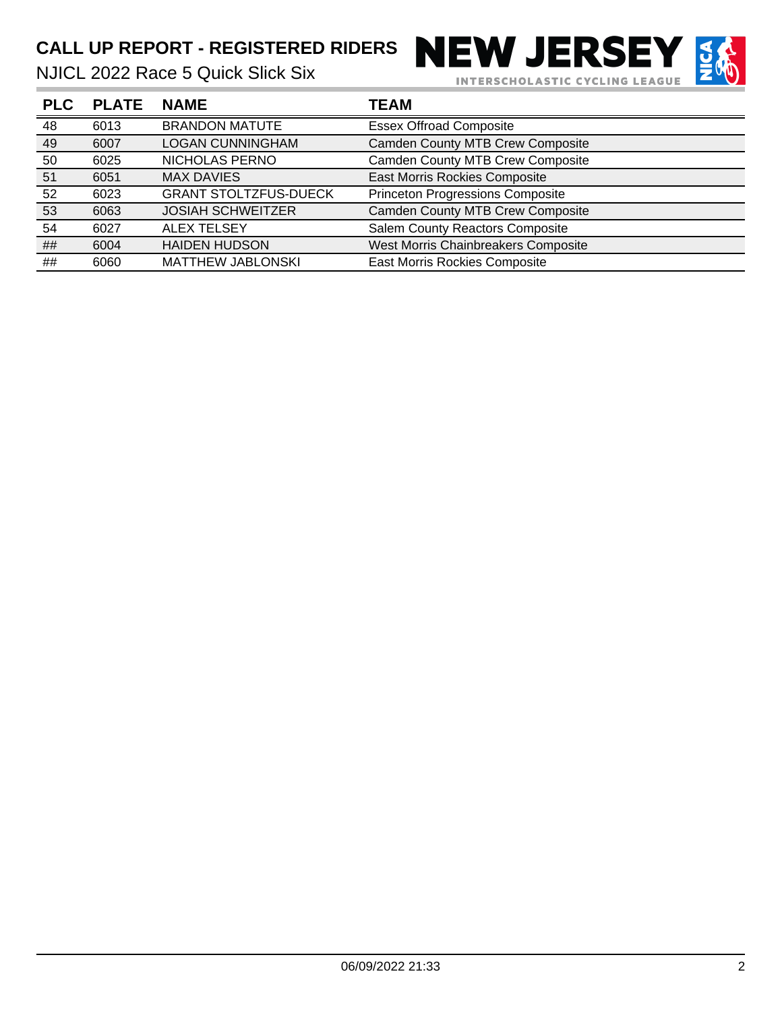NJICL 2022 Race 5 Quick Slick Six

**NEW JERSEY** INTERSCHOLASTIC CYCLING LEAGUE



| <b>PLC</b> | <b>PLATE</b> | <b>NAME</b>                  | <b>TEAM</b>                             |
|------------|--------------|------------------------------|-----------------------------------------|
| 48         | 6013         | <b>BRANDON MATUTE</b>        | <b>Essex Offroad Composite</b>          |
| 49         | 6007         | <b>LOGAN CUNNINGHAM</b>      | <b>Camden County MTB Crew Composite</b> |
| 50         | 6025         | NICHOLAS PERNO               | <b>Camden County MTB Crew Composite</b> |
| 51         | 6051         | <b>MAX DAVIES</b>            | East Morris Rockies Composite           |
| 52         | 6023         | <b>GRANT STOLTZFUS-DUECK</b> | <b>Princeton Progressions Composite</b> |
| 53         | 6063         | <b>JOSIAH SCHWEITZER</b>     | <b>Camden County MTB Crew Composite</b> |
| 54         | 6027         | <b>ALEX TELSEY</b>           | <b>Salem County Reactors Composite</b>  |
| ##         | 6004         | <b>HAIDEN HUDSON</b>         | West Morris Chainbreakers Composite     |
| ##         | 6060         | <b>MATTHEW JABLONSKI</b>     | <b>East Morris Rockies Composite</b>    |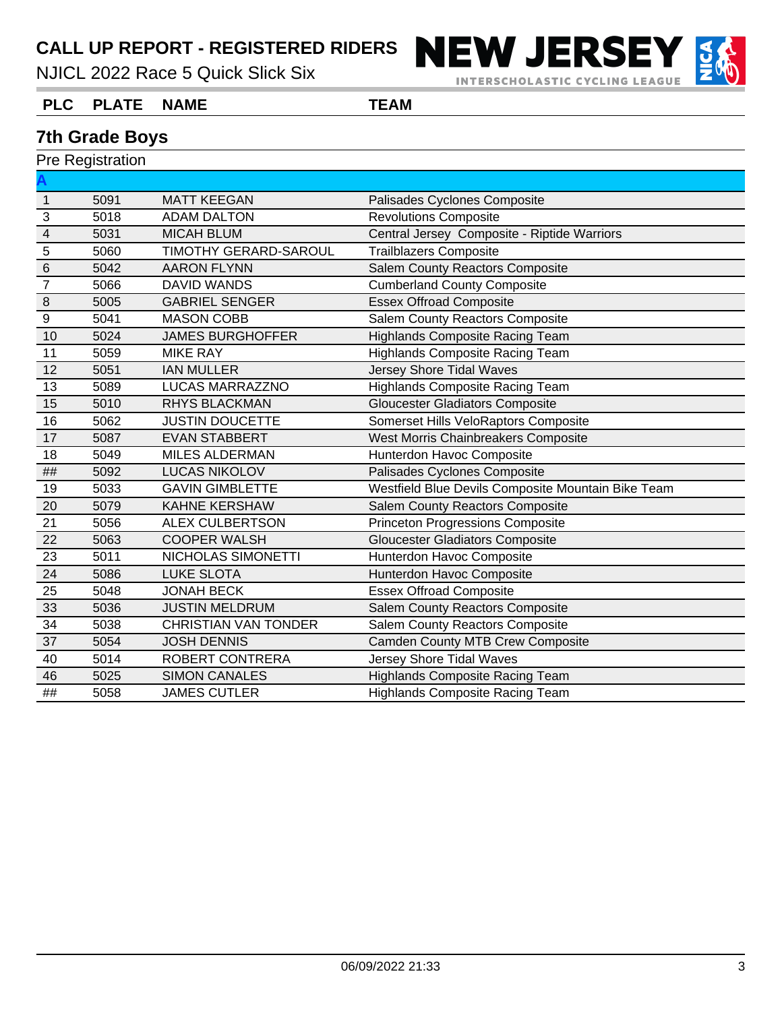# CALL UP REPORT - REGISTERED RIDERS NEW JERSEY

NJICL 2022 Race 5 Quick Slick Six

INTERSCHOLASTIC CYCLING LEAGUE



## **PLC PLATE NAME TEAM**

#### **7th Grade Boys**

| Pre Registration        |      |                             |                                                    |  |
|-------------------------|------|-----------------------------|----------------------------------------------------|--|
|                         |      |                             |                                                    |  |
| $\overline{1}$          | 5091 | <b>MATT KEEGAN</b>          | Palisades Cyclones Composite                       |  |
| $\overline{3}$          | 5018 | <b>ADAM DALTON</b>          | <b>Revolutions Composite</b>                       |  |
| $\overline{\mathbf{4}}$ | 5031 | <b>MICAH BLUM</b>           | Central Jersey Composite - Riptide Warriors        |  |
| $\overline{5}$          | 5060 | TIMOTHY GERARD-SAROUL       | <b>Trailblazers Composite</b>                      |  |
| 6                       | 5042 | <b>AARON FLYNN</b>          | <b>Salem County Reactors Composite</b>             |  |
| $\overline{7}$          | 5066 | <b>DAVID WANDS</b>          | <b>Cumberland County Composite</b>                 |  |
| $\,8\,$                 | 5005 | <b>GABRIEL SENGER</b>       | <b>Essex Offroad Composite</b>                     |  |
| $\overline{9}$          | 5041 | <b>MASON COBB</b>           | Salem County Reactors Composite                    |  |
| 10                      | 5024 | <b>JAMES BURGHOFFER</b>     | <b>Highlands Composite Racing Team</b>             |  |
| 11                      | 5059 | <b>MIKE RAY</b>             | <b>Highlands Composite Racing Team</b>             |  |
| 12                      | 5051 | <b>IAN MULLER</b>           | Jersey Shore Tidal Waves                           |  |
| 13                      | 5089 | <b>LUCAS MARRAZZNO</b>      | <b>Highlands Composite Racing Team</b>             |  |
| 15                      | 5010 | <b>RHYS BLACKMAN</b>        | <b>Gloucester Gladiators Composite</b>             |  |
| 16                      | 5062 | <b>JUSTIN DOUCETTE</b>      | Somerset Hills VeloRaptors Composite               |  |
| 17                      | 5087 | <b>EVAN STABBERT</b>        | <b>West Morris Chainbreakers Composite</b>         |  |
| 18                      | 5049 | <b>MILES ALDERMAN</b>       | Hunterdon Havoc Composite                          |  |
| ##                      | 5092 | <b>LUCAS NIKOLOV</b>        | Palisades Cyclones Composite                       |  |
| 19                      | 5033 | <b>GAVIN GIMBLETTE</b>      | Westfield Blue Devils Composite Mountain Bike Team |  |
| 20                      | 5079 | <b>KAHNE KERSHAW</b>        | <b>Salem County Reactors Composite</b>             |  |
| 21                      | 5056 | <b>ALEX CULBERTSON</b>      | <b>Princeton Progressions Composite</b>            |  |
| 22                      | 5063 | <b>COOPER WALSH</b>         | <b>Gloucester Gladiators Composite</b>             |  |
| 23                      | 5011 | NICHOLAS SIMONETTI          | Hunterdon Havoc Composite                          |  |
| 24                      | 5086 | <b>LUKE SLOTA</b>           | Hunterdon Havoc Composite                          |  |
| 25                      | 5048 | <b>JONAH BECK</b>           | <b>Essex Offroad Composite</b>                     |  |
| 33                      | 5036 | <b>JUSTIN MELDRUM</b>       | Salem County Reactors Composite                    |  |
| 34                      | 5038 | <b>CHRISTIAN VAN TONDER</b> | Salem County Reactors Composite                    |  |
| 37                      | 5054 | <b>JOSH DENNIS</b>          | <b>Camden County MTB Crew Composite</b>            |  |
| 40                      | 5014 | ROBERT CONTRERA             | Jersey Shore Tidal Waves                           |  |
| 46                      | 5025 | <b>SIMON CANALES</b>        | <b>Highlands Composite Racing Team</b>             |  |
| ##                      | 5058 | <b>JAMES CUTLER</b>         | <b>Highlands Composite Racing Team</b>             |  |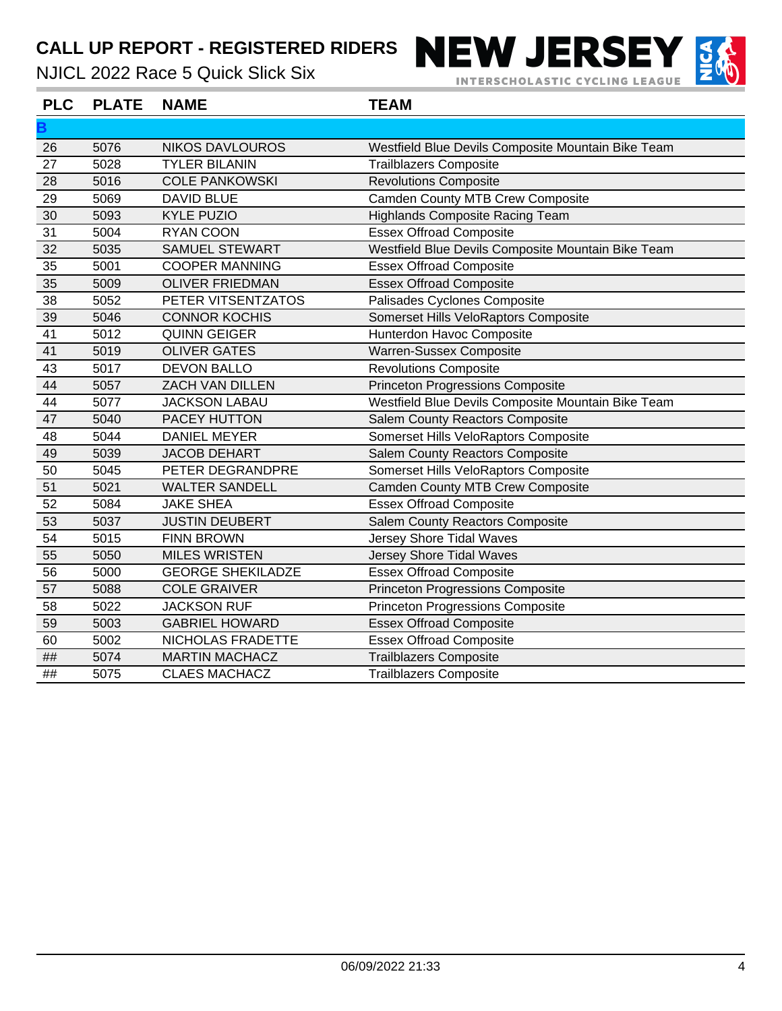NJICL 2022 Race 5 Quick Slick Six

**INTERSCHOLASTIC CYCLING LEAGUE** 



| <b>PLC</b> | <b>PLATE</b> | <b>NAME</b>              | <b>TEAM</b>                                        |
|------------|--------------|--------------------------|----------------------------------------------------|
| Β          |              |                          |                                                    |
| 26         | 5076         | <b>NIKOS DAVLOUROS</b>   | Westfield Blue Devils Composite Mountain Bike Team |
| 27         | 5028         | <b>TYLER BILANIN</b>     | <b>Trailblazers Composite</b>                      |
| 28         | 5016         | <b>COLE PANKOWSKI</b>    | <b>Revolutions Composite</b>                       |
| 29         | 5069         | <b>DAVID BLUE</b>        | <b>Camden County MTB Crew Composite</b>            |
| 30         | 5093         | <b>KYLE PUZIO</b>        | <b>Highlands Composite Racing Team</b>             |
| 31         | 5004         | <b>RYAN COON</b>         | <b>Essex Offroad Composite</b>                     |
| 32         | 5035         | <b>SAMUEL STEWART</b>    | Westfield Blue Devils Composite Mountain Bike Team |
| 35         | 5001         | <b>COOPER MANNING</b>    | <b>Essex Offroad Composite</b>                     |
| 35         | 5009         | <b>OLIVER FRIEDMAN</b>   | <b>Essex Offroad Composite</b>                     |
| 38         | 5052         | PETER VITSENTZATOS       | Palisades Cyclones Composite                       |
| 39         | 5046         | <b>CONNOR KOCHIS</b>     | Somerset Hills VeloRaptors Composite               |
| 41         | 5012         | <b>QUINN GEIGER</b>      | Hunterdon Havoc Composite                          |
| 41         | 5019         | <b>OLIVER GATES</b>      | Warren-Sussex Composite                            |
| 43         | 5017         | <b>DEVON BALLO</b>       | <b>Revolutions Composite</b>                       |
| 44         | 5057         | <b>ZACH VAN DILLEN</b>   | <b>Princeton Progressions Composite</b>            |
| 44         | 5077         | <b>JACKSON LABAU</b>     | Westfield Blue Devils Composite Mountain Bike Team |
| 47         | 5040         | PACEY HUTTON             | <b>Salem County Reactors Composite</b>             |
| 48         | 5044         | <b>DANIEL MEYER</b>      | Somerset Hills VeloRaptors Composite               |
| 49         | 5039         | <b>JACOB DEHART</b>      | <b>Salem County Reactors Composite</b>             |
| 50         | 5045         | PETER DEGRANDPRE         | Somerset Hills VeloRaptors Composite               |
| 51         | 5021         | <b>WALTER SANDELL</b>    | <b>Camden County MTB Crew Composite</b>            |
| 52         | 5084         | <b>JAKE SHEA</b>         | <b>Essex Offroad Composite</b>                     |
| 53         | 5037         | <b>JUSTIN DEUBERT</b>    | <b>Salem County Reactors Composite</b>             |
| 54         | 5015         | <b>FINN BROWN</b>        | Jersey Shore Tidal Waves                           |
| 55         | 5050         | <b>MILES WRISTEN</b>     | <b>Jersey Shore Tidal Waves</b>                    |
| 56         | 5000         | <b>GEORGE SHEKILADZE</b> | <b>Essex Offroad Composite</b>                     |
| 57         | 5088         | <b>COLE GRAIVER</b>      | <b>Princeton Progressions Composite</b>            |
| 58         | 5022         | <b>JACKSON RUF</b>       | <b>Princeton Progressions Composite</b>            |
| 59         | 5003         | <b>GABRIEL HOWARD</b>    | <b>Essex Offroad Composite</b>                     |
| 60         | 5002         | NICHOLAS FRADETTE        | <b>Essex Offroad Composite</b>                     |
| $\# \#$    | 5074         | <b>MARTIN MACHACZ</b>    | <b>Trailblazers Composite</b>                      |
| ##         | 5075         | <b>CLAES MACHACZ</b>     | <b>Trailblazers Composite</b>                      |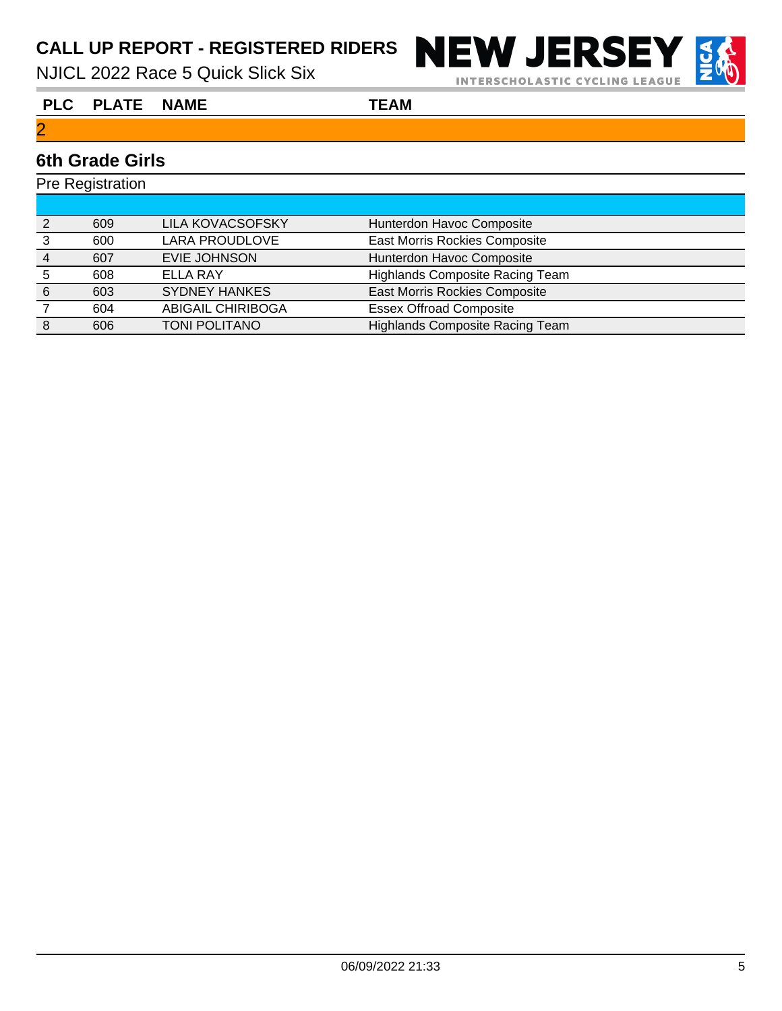NJICL 2022 Race 5 Quick Slick Six

**NEW JERSEY INTERSCHOLASTIC CYCLING LEAGUE** 

**PLC PLATE NAME TEAM**

### **6th Grade Girls**

| <b>Pre Registration</b> |     |                          |                                        |  |  |
|-------------------------|-----|--------------------------|----------------------------------------|--|--|
|                         |     |                          |                                        |  |  |
| 2                       | 609 | <b>LILA KOVACSOFSKY</b>  | Hunterdon Havoc Composite              |  |  |
| 3                       | 600 | <b>LARA PROUDLOVE</b>    | East Morris Rockies Composite          |  |  |
| $\overline{4}$          | 607 | <b>EVIE JOHNSON</b>      | Hunterdon Havoc Composite              |  |  |
| 5                       | 608 | <b>ELLA RAY</b>          | <b>Highlands Composite Racing Team</b> |  |  |
| 6                       | 603 | <b>SYDNEY HANKES</b>     | East Morris Rockies Composite          |  |  |
|                         | 604 | <b>ABIGAIL CHIRIBOGA</b> | <b>Essex Offroad Composite</b>         |  |  |
| 8                       | 606 | <b>TONI POLITANO</b>     | <b>Highlands Composite Racing Team</b> |  |  |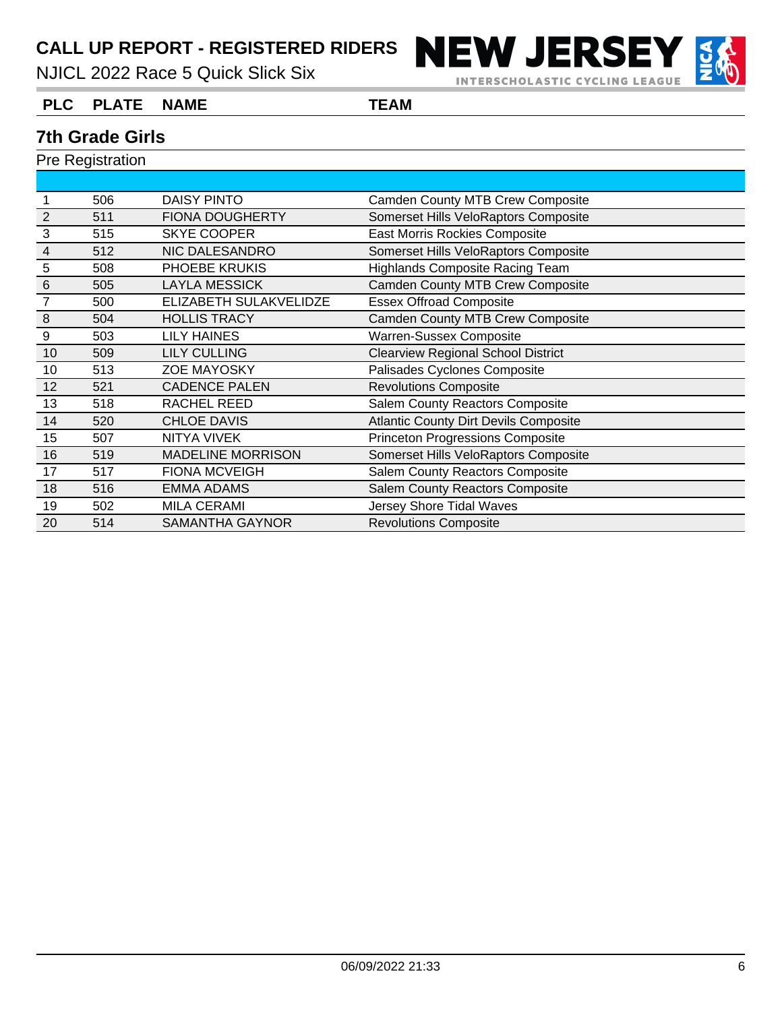CALL UP REPORT - REGISTERED RIDERS **NEW JERSEY** INTERSCHOLASTIC CYCLING LEAGUE



#### **PLC PLATE NAME TEAM**

### **7th Grade Girls**

|                | 506 | <b>DAISY PINTO</b>       | <b>Camden County MTB Crew Composite</b>      |
|----------------|-----|--------------------------|----------------------------------------------|
| $\overline{2}$ | 511 | <b>FIONA DOUGHERTY</b>   | Somerset Hills VeloRaptors Composite         |
| 3              | 515 | <b>SKYE COOPER</b>       | East Morris Rockies Composite                |
| 4              | 512 | NIC DALESANDRO           | Somerset Hills VeloRaptors Composite         |
| 5              | 508 | PHOEBE KRUKIS            | <b>Highlands Composite Racing Team</b>       |
| $6\phantom{1}$ | 505 | <b>LAYLA MESSICK</b>     | <b>Camden County MTB Crew Composite</b>      |
| 7              | 500 | ELIZABETH SULAKVELIDZE   | <b>Essex Offroad Composite</b>               |
| 8              | 504 | <b>HOLLIS TRACY</b>      | Camden County MTB Crew Composite             |
| 9              | 503 | <b>LILY HAINES</b>       | <b>Warren-Sussex Composite</b>               |
| 10             | 509 | <b>LILY CULLING</b>      | <b>Clearview Regional School District</b>    |
| 10             | 513 | <b>ZOE MAYOSKY</b>       | Palisades Cyclones Composite                 |
| 12             | 521 | <b>CADENCE PALEN</b>     | <b>Revolutions Composite</b>                 |
| 13             | 518 | RACHEL REED              | <b>Salem County Reactors Composite</b>       |
| 14             | 520 | <b>CHLOE DAVIS</b>       | <b>Atlantic County Dirt Devils Composite</b> |
| 15             | 507 | NITYA VIVEK              | <b>Princeton Progressions Composite</b>      |
| 16             | 519 | <b>MADELINE MORRISON</b> | Somerset Hills VeloRaptors Composite         |
| 17             | 517 | <b>FIONA MCVEIGH</b>     | <b>Salem County Reactors Composite</b>       |
| 18             | 516 | <b>EMMA ADAMS</b>        | <b>Salem County Reactors Composite</b>       |
| 19             | 502 | <b>MILA CERAMI</b>       | <b>Jersey Shore Tidal Waves</b>              |
| 20             | 514 | <b>SAMANTHA GAYNOR</b>   | <b>Revolutions Composite</b>                 |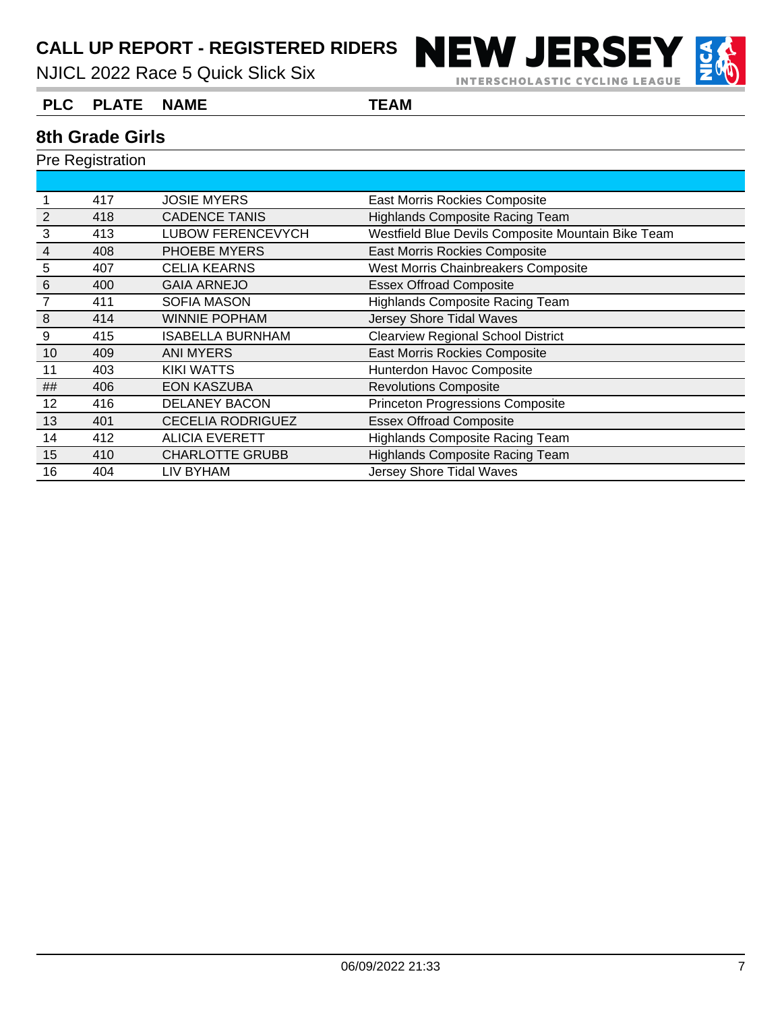CALL UP REPORT - REGISTERED RIDERS **NEW JERSEY** INTERSCHOLASTIC CYCLING LEAGUE



#### **PLC PLATE NAME TEAM**

#### **8th Grade Girls**

|                | 417 | <b>JOSIE MYERS</b>       | East Morris Rockies Composite                      |
|----------------|-----|--------------------------|----------------------------------------------------|
| $\overline{2}$ | 418 | <b>CADENCE TANIS</b>     | <b>Highlands Composite Racing Team</b>             |
| 3              | 413 | <b>LUBOW FERENCEVYCH</b> | Westfield Blue Devils Composite Mountain Bike Team |
| $\overline{4}$ | 408 | PHOEBE MYERS             | <b>East Morris Rockies Composite</b>               |
| 5              | 407 | CELIA KEARNS             | West Morris Chainbreakers Composite                |
| 6              | 400 | <b>GAIA ARNEJO</b>       | <b>Essex Offroad Composite</b>                     |
| 7              | 411 | <b>SOFIA MASON</b>       | Highlands Composite Racing Team                    |
| 8              | 414 | <b>WINNIE POPHAM</b>     | Jersey Shore Tidal Waves                           |
| 9              | 415 | <b>ISABELLA BURNHAM</b>  | <b>Clearview Regional School District</b>          |
| 10             | 409 | <b>ANI MYERS</b>         | <b>East Morris Rockies Composite</b>               |
| 11             | 403 | <b>KIKI WATTS</b>        | Hunterdon Havoc Composite                          |
| ##             | 406 | <b>EON KASZUBA</b>       | <b>Revolutions Composite</b>                       |
| 12             | 416 | <b>DELANEY BACON</b>     | <b>Princeton Progressions Composite</b>            |
| 13             | 401 | <b>CECELIA RODRIGUEZ</b> | <b>Essex Offroad Composite</b>                     |
| 14             | 412 | <b>ALICIA EVERETT</b>    | <b>Highlands Composite Racing Team</b>             |
| 15             | 410 | <b>CHARLOTTE GRUBB</b>   | <b>Highlands Composite Racing Team</b>             |
| 16             | 404 | LIV BYHAM                | Jersey Shore Tidal Waves                           |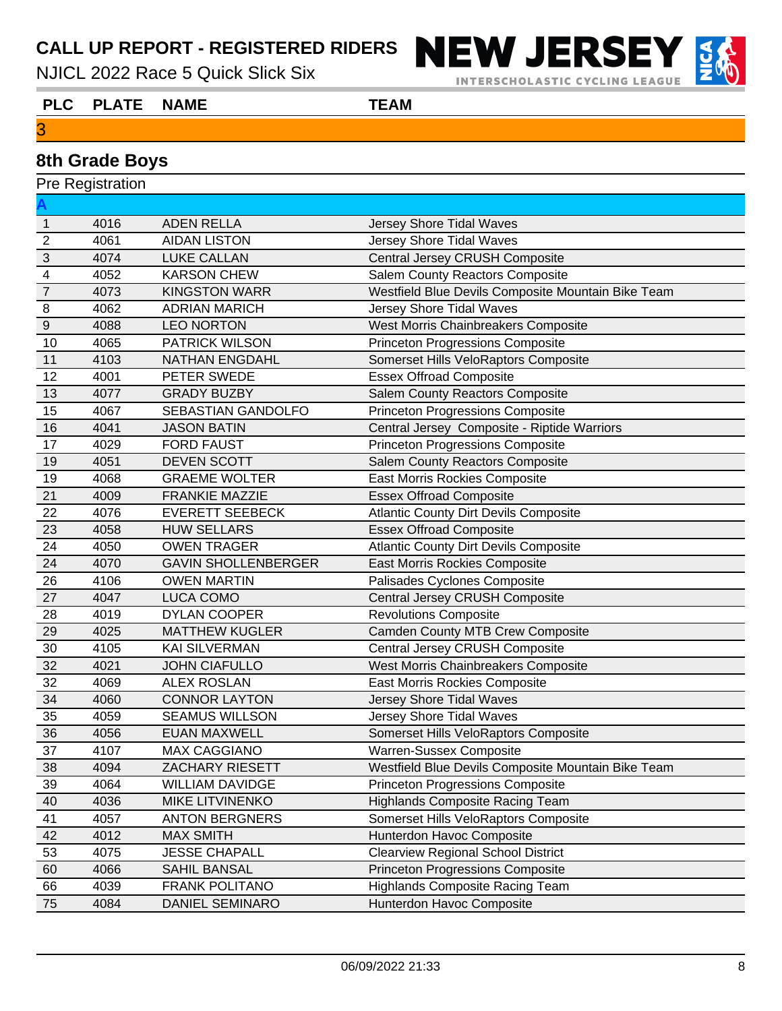NJICL 2022 Race 5 Quick Slick Six

**NEW JERSEY INTERSCHOLASTIC CYCLING LEAGUE** 

**PLC PLATE NAME TEAM**

### **8th Grade Boys**

| <b>Pre Registration</b> |      |                            |                                                    |  |  |
|-------------------------|------|----------------------------|----------------------------------------------------|--|--|
|                         |      |                            |                                                    |  |  |
| $\mathbf{1}$            | 4016 | <b>ADEN RELLA</b>          | Jersey Shore Tidal Waves                           |  |  |
| $\overline{2}$          | 4061 | <b>AIDAN LISTON</b>        | Jersey Shore Tidal Waves                           |  |  |
| 3                       | 4074 | <b>LUKE CALLAN</b>         | Central Jersey CRUSH Composite                     |  |  |
| $\overline{\mathbf{4}}$ | 4052 | <b>KARSON CHEW</b>         | Salem County Reactors Composite                    |  |  |
| $\overline{7}$          | 4073 | <b>KINGSTON WARR</b>       | Westfield Blue Devils Composite Mountain Bike Team |  |  |
| 8                       | 4062 | <b>ADRIAN MARICH</b>       | Jersey Shore Tidal Waves                           |  |  |
| $\overline{9}$          | 4088 | <b>LEO NORTON</b>          | West Morris Chainbreakers Composite                |  |  |
| 10                      | 4065 | <b>PATRICK WILSON</b>      | <b>Princeton Progressions Composite</b>            |  |  |
| 11                      | 4103 | <b>NATHAN ENGDAHL</b>      | Somerset Hills VeloRaptors Composite               |  |  |
| 12                      | 4001 | PETER SWEDE                | <b>Essex Offroad Composite</b>                     |  |  |
| 13                      | 4077 | <b>GRADY BUZBY</b>         | Salem County Reactors Composite                    |  |  |
| 15                      | 4067 | SEBASTIAN GANDOLFO         | <b>Princeton Progressions Composite</b>            |  |  |
| 16                      | 4041 | <b>JASON BATIN</b>         | Central Jersey Composite - Riptide Warriors        |  |  |
| 17                      | 4029 | <b>FORD FAUST</b>          | <b>Princeton Progressions Composite</b>            |  |  |
| 19                      | 4051 | <b>DEVEN SCOTT</b>         | Salem County Reactors Composite                    |  |  |
| 19                      | 4068 | <b>GRAEME WOLTER</b>       | <b>East Morris Rockies Composite</b>               |  |  |
| 21                      | 4009 | <b>FRANKIE MAZZIE</b>      | <b>Essex Offroad Composite</b>                     |  |  |
| 22                      | 4076 | <b>EVERETT SEEBECK</b>     | <b>Atlantic County Dirt Devils Composite</b>       |  |  |
| 23                      | 4058 | <b>HUW SELLARS</b>         | <b>Essex Offroad Composite</b>                     |  |  |
| 24                      | 4050 | <b>OWEN TRAGER</b>         | <b>Atlantic County Dirt Devils Composite</b>       |  |  |
| 24                      | 4070 | <b>GAVIN SHOLLENBERGER</b> | East Morris Rockies Composite                      |  |  |
| 26                      | 4106 | <b>OWEN MARTIN</b>         | Palisades Cyclones Composite                       |  |  |
| 27                      | 4047 | <b>LUCA COMO</b>           | Central Jersey CRUSH Composite                     |  |  |
| 28                      | 4019 | <b>DYLAN COOPER</b>        | <b>Revolutions Composite</b>                       |  |  |
| 29                      | 4025 | <b>MATTHEW KUGLER</b>      | <b>Camden County MTB Crew Composite</b>            |  |  |
| 30                      | 4105 | <b>KAI SILVERMAN</b>       | Central Jersey CRUSH Composite                     |  |  |
| 32                      | 4021 | <b>JOHN CIAFULLO</b>       | West Morris Chainbreakers Composite                |  |  |
| 32                      | 4069 | <b>ALEX ROSLAN</b>         | <b>East Morris Rockies Composite</b>               |  |  |
| 34                      | 4060 | <b>CONNOR LAYTON</b>       | <b>Jersey Shore Tidal Waves</b>                    |  |  |
| 35                      | 4059 | <b>SEAMUS WILLSON</b>      | <b>Jersey Shore Tidal Waves</b>                    |  |  |
| 36                      | 4056 | <b>EUAN MAXWELL</b>        | Somerset Hills VeloRaptors Composite               |  |  |
| 37                      | 4107 | MAX CAGGIANO               | Warren-Sussex Composite                            |  |  |
| 38                      | 4094 | <b>ZACHARY RIESETT</b>     | Westfield Blue Devils Composite Mountain Bike Team |  |  |
| 39                      | 4064 | WILLIAM DAVIDGE            | <b>Princeton Progressions Composite</b>            |  |  |
| 40                      | 4036 | <b>MIKE LITVINENKO</b>     | <b>Highlands Composite Racing Team</b>             |  |  |
| 41                      | 4057 | <b>ANTON BERGNERS</b>      | Somerset Hills VeloRaptors Composite               |  |  |
| 42                      | 4012 | <b>MAX SMITH</b>           | Hunterdon Havoc Composite                          |  |  |
| 53                      | 4075 | <b>JESSE CHAPALL</b>       | <b>Clearview Regional School District</b>          |  |  |
| 60                      | 4066 | SAHIL BANSAL               | <b>Princeton Progressions Composite</b>            |  |  |
| 66                      | 4039 | FRANK POLITANO             | <b>Highlands Composite Racing Team</b>             |  |  |
| 75                      | 4084 | <b>DANIEL SEMINARO</b>     | Hunterdon Havoc Composite                          |  |  |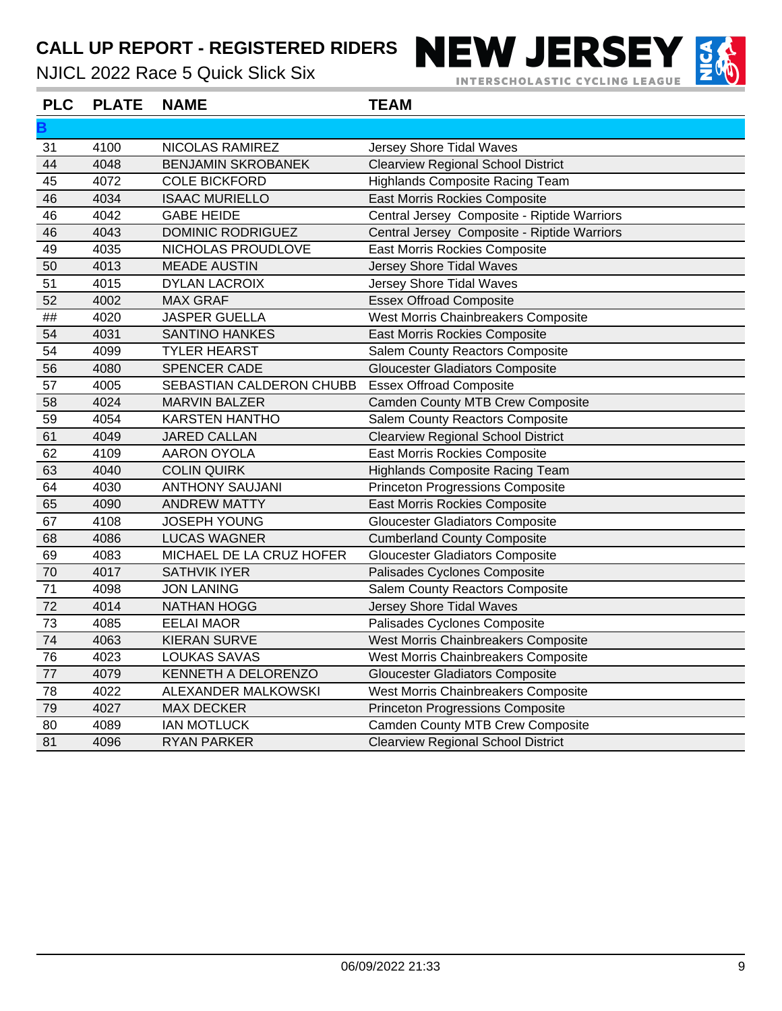# CALL UP REPORT - REGISTERED RIDERS **NEW JERSEY**

NJICL 2022 Race 5 Quick Slick Six

**B**

**INTERSCHOLASTIC CYCLING LEAGUE** 



 4100 NICOLAS RAMIREZ Jersey Shore Tidal Waves 4048 BENJAMIN SKROBANEK Clearview Regional School District 4072 COLE BICKFORD Highlands Composite Racing Team 4034 ISAAC MURIELLO East Morris Rockies Composite 4042 GABE HEIDE Central Jersey Composite - Riptide Warriors 4043 DOMINIC RODRIGUEZ Central Jersey Composite - Riptide Warriors 4035 NICHOLAS PROUDLOVE East Morris Rockies Composite 4013 MEADE AUSTIN Jersey Shore Tidal Waves 4015 DYLAN LACROIX Jersey Shore Tidal Waves 52 4002 MAX GRAF Essex Offroad Composite ## 4020 JASPER GUELLA West Morris Chainbreakers Composite 4031 SANTINO HANKES East Morris Rockies Composite 54 4099 TYLER HEARST Salem County Reactors Composite 4080 SPENCER CADE Gloucester Gladiators Composite 4005 SEBASTIAN CALDERON CHUBB Essex Offroad Composite 4024 MARVIN BALZER Camden County MTB Crew Composite 4054 KARSTEN HANTHO Salem County Reactors Composite 4049 JARED CALLAN Clearview Regional School District 4109 AARON OYOLA East Morris Rockies Composite 63 4040 COLIN QUIRK Highlands Composite Racing Team 4030 ANTHONY SAUJANI Princeton Progressions Composite 4090 ANDREW MATTY East Morris Rockies Composite 4108 JOSEPH YOUNG Gloucester Gladiators Composite 4086 LUCAS WAGNER Cumberland County Composite 4083 MICHAEL DE LA CRUZ HOFER Gloucester Gladiators Composite 70 4017 SATHVIK IYER Palisades Cyclones Composite 4098 JON LANING Salem County Reactors Composite 72 4014 NATHAN HOGG Jersey Shore Tidal Waves 73 4085 EELAI MAOR Palisades Cyclones Composite 4063 KIERAN SURVE West Morris Chainbreakers Composite 4023 LOUKAS SAVAS West Morris Chainbreakers Composite 4079 KENNETH A DELORENZO Gloucester Gladiators Composite 4022 ALEXANDER MALKOWSKI West Morris Chainbreakers Composite 79 4027 MAX DECKER Princeton Progressions Composite 4089 IAN MOTLUCK Camden County MTB Crew Composite **PLC PLATE NAME TEAM**

4096 RYAN PARKER Clearview Regional School District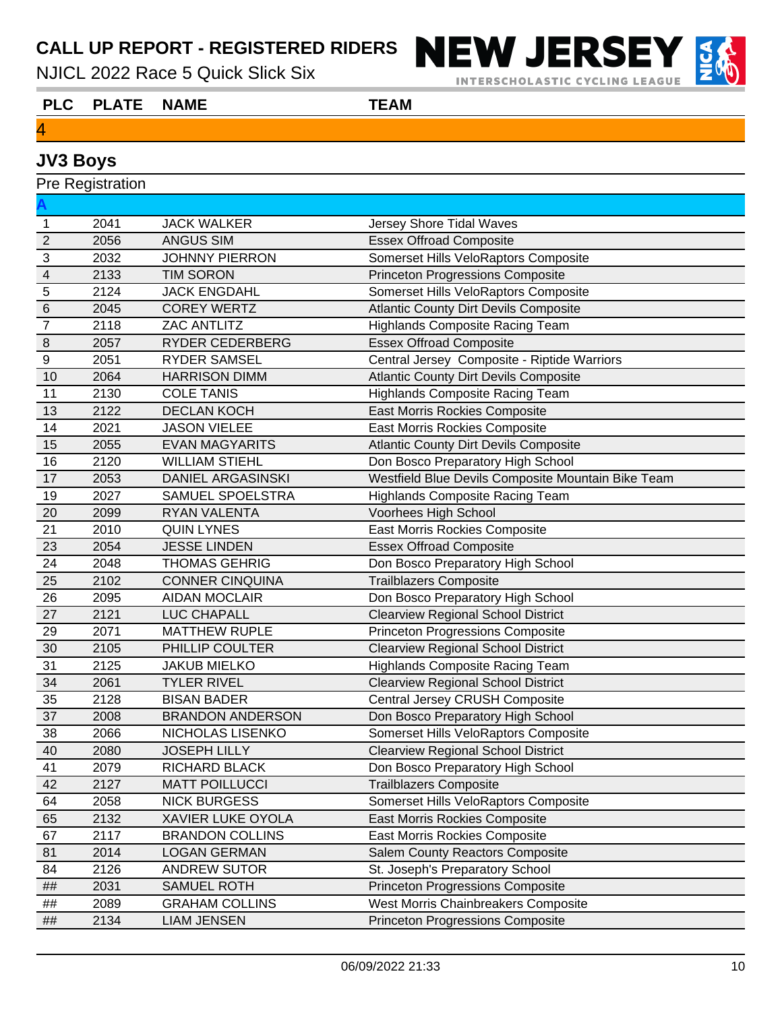NJICL 2022 Race 5 Quick Slick Six

**NEW JERSEY INTERSCHOLASTIC CYCLING LEAGUE** 



**PLC PLATE NAME TEAM**

#### 

# **JV3 Boys**

| <b>Pre Registration</b> |      |                          |                                                    |  |  |
|-------------------------|------|--------------------------|----------------------------------------------------|--|--|
|                         |      |                          |                                                    |  |  |
| 1                       | 2041 | <b>JACK WALKER</b>       | Jersey Shore Tidal Waves                           |  |  |
| $\overline{2}$          | 2056 | <b>ANGUS SIM</b>         | <b>Essex Offroad Composite</b>                     |  |  |
| 3                       | 2032 | <b>JOHNNY PIERRON</b>    | Somerset Hills VeloRaptors Composite               |  |  |
| $\overline{\mathbf{4}}$ | 2133 | <b>TIM SORON</b>         | <b>Princeton Progressions Composite</b>            |  |  |
| 5                       | 2124 | <b>JACK ENGDAHL</b>      | Somerset Hills VeloRaptors Composite               |  |  |
| $\,6$                   | 2045 | <b>COREY WERTZ</b>       | <b>Atlantic County Dirt Devils Composite</b>       |  |  |
| $\overline{7}$          | 2118 | <b>ZAC ANTLITZ</b>       | <b>Highlands Composite Racing Team</b>             |  |  |
| 8                       | 2057 | <b>RYDER CEDERBERG</b>   | <b>Essex Offroad Composite</b>                     |  |  |
| $9$                     | 2051 | <b>RYDER SAMSEL</b>      | Central Jersey Composite - Riptide Warriors        |  |  |
| 10                      | 2064 | <b>HARRISON DIMM</b>     | <b>Atlantic County Dirt Devils Composite</b>       |  |  |
| 11                      | 2130 | <b>COLE TANIS</b>        | <b>Highlands Composite Racing Team</b>             |  |  |
| 13                      | 2122 | <b>DECLAN KOCH</b>       | East Morris Rockies Composite                      |  |  |
| 14                      | 2021 | <b>JASON VIELEE</b>      | East Morris Rockies Composite                      |  |  |
| 15                      | 2055 | <b>EVAN MAGYARITS</b>    | <b>Atlantic County Dirt Devils Composite</b>       |  |  |
| 16                      | 2120 | <b>WILLIAM STIEHL</b>    | Don Bosco Preparatory High School                  |  |  |
| 17                      | 2053 | <b>DANIEL ARGASINSKI</b> | Westfield Blue Devils Composite Mountain Bike Team |  |  |
| 19                      | 2027 | SAMUEL SPOELSTRA         | <b>Highlands Composite Racing Team</b>             |  |  |
| 20                      | 2099 | RYAN VALENTA             | Voorhees High School                               |  |  |
| 21                      | 2010 | <b>QUIN LYNES</b>        | East Morris Rockies Composite                      |  |  |
| 23                      | 2054 | <b>JESSE LINDEN</b>      | <b>Essex Offroad Composite</b>                     |  |  |
| 24                      | 2048 | <b>THOMAS GEHRIG</b>     | Don Bosco Preparatory High School                  |  |  |
| 25                      | 2102 | <b>CONNER CINQUINA</b>   | <b>Trailblazers Composite</b>                      |  |  |
| 26                      | 2095 | <b>AIDAN MOCLAIR</b>     | Don Bosco Preparatory High School                  |  |  |
| 27                      | 2121 | <b>LUC CHAPALL</b>       | <b>Clearview Regional School District</b>          |  |  |
| 29                      | 2071 | <b>MATTHEW RUPLE</b>     | <b>Princeton Progressions Composite</b>            |  |  |
| 30                      | 2105 | PHILLIP COULTER          | <b>Clearview Regional School District</b>          |  |  |
| 31                      | 2125 | <b>JAKUB MIELKO</b>      | <b>Highlands Composite Racing Team</b>             |  |  |
| 34                      | 2061 | <b>TYLER RIVEL</b>       | <b>Clearview Regional School District</b>          |  |  |
| 35                      | 2128 | <b>BISAN BADER</b>       | Central Jersey CRUSH Composite                     |  |  |
| 37                      | 2008 | <b>BRANDON ANDERSON</b>  | Don Bosco Preparatory High School                  |  |  |
| 38                      | 2066 | NICHOLAS LISENKO         | Somerset Hills VeloRaptors Composite               |  |  |
| 40                      | 2080 | <b>JOSEPH LILLY</b>      | <b>Clearview Regional School District</b>          |  |  |
| 41                      | 2079 | RICHARD BLACK            | Don Bosco Preparatory High School                  |  |  |
| 42                      | 2127 | <b>MATT POILLUCCI</b>    | <b>Trailblazers Composite</b>                      |  |  |
| 64                      | 2058 | <b>NICK BURGESS</b>      | Somerset Hills VeloRaptors Composite               |  |  |
| 65                      | 2132 | XAVIER LUKE OYOLA        | East Morris Rockies Composite                      |  |  |
| 67                      | 2117 | <b>BRANDON COLLINS</b>   | East Morris Rockies Composite                      |  |  |
| 81                      | 2014 | <b>LOGAN GERMAN</b>      | <b>Salem County Reactors Composite</b>             |  |  |
| 84                      | 2126 | <b>ANDREW SUTOR</b>      | St. Joseph's Preparatory School                    |  |  |
| ##                      | 2031 | <b>SAMUEL ROTH</b>       | <b>Princeton Progressions Composite</b>            |  |  |
| $\# \#$                 | 2089 | <b>GRAHAM COLLINS</b>    | West Morris Chainbreakers Composite                |  |  |
| ##                      | 2134 | <b>LIAM JENSEN</b>       | <b>Princeton Progressions Composite</b>            |  |  |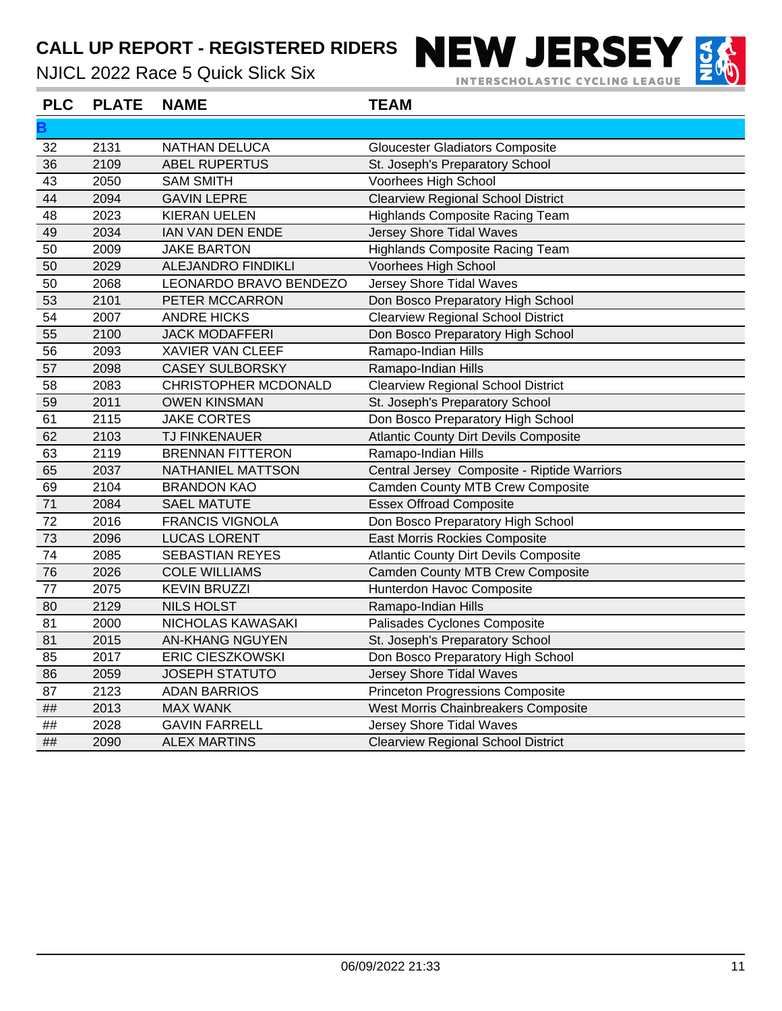NJICL 2022 Race 5 Quick Slick Six



| <b>PLC</b> | <b>PLATE</b> | <b>NAME</b>             | <b>TEAM</b>                                  |
|------------|--------------|-------------------------|----------------------------------------------|
|            |              |                         |                                              |
| 32         | 2131         | NATHAN DELUCA           | <b>Gloucester Gladiators Composite</b>       |
| 36         | 2109         | <b>ABEL RUPERTUS</b>    | St. Joseph's Preparatory School              |
| 43         | 2050         | <b>SAM SMITH</b>        | Voorhees High School                         |
| 44         | 2094         | <b>GAVIN LEPRE</b>      | <b>Clearview Regional School District</b>    |
| 48         | 2023         | <b>KIERAN UELEN</b>     | <b>Highlands Composite Racing Team</b>       |
| 49         | 2034         | IAN VAN DEN ENDE        | Jersey Shore Tidal Waves                     |
| 50         | 2009         | <b>JAKE BARTON</b>      | <b>Highlands Composite Racing Team</b>       |
| 50         | 2029         | ALEJANDRO FINDIKLI      | Voorhees High School                         |
| 50         | 2068         | LEONARDO BRAVO BENDEZO  | <b>Jersey Shore Tidal Waves</b>              |
| 53         | 2101         | PETER MCCARRON          | Don Bosco Preparatory High School            |
| 54         | 2007         | <b>ANDRE HICKS</b>      | <b>Clearview Regional School District</b>    |
| 55         | 2100         | <b>JACK MODAFFERI</b>   | Don Bosco Preparatory High School            |
| 56         | 2093         | <b>XAVIER VAN CLEEF</b> | Ramapo-Indian Hills                          |
| 57         | 2098         | <b>CASEY SULBORSKY</b>  | Ramapo-Indian Hills                          |
| 58         | 2083         | CHRISTOPHER MCDONALD    | <b>Clearview Regional School District</b>    |
| 59         | 2011         | <b>OWEN KINSMAN</b>     | St. Joseph's Preparatory School              |
| 61         | 2115         | <b>JAKE CORTES</b>      | Don Bosco Preparatory High School            |
| 62         | 2103         | TJ FINKENAUER           | <b>Atlantic County Dirt Devils Composite</b> |
| 63         | 2119         | <b>BRENNAN FITTERON</b> | Ramapo-Indian Hills                          |
| 65         | 2037         | NATHANIEL MATTSON       | Central Jersey Composite - Riptide Warriors  |
| 69         | 2104         | <b>BRANDON KAO</b>      | <b>Camden County MTB Crew Composite</b>      |
| 71         | 2084         | <b>SAEL MATUTE</b>      | <b>Essex Offroad Composite</b>               |
| 72         | 2016         | <b>FRANCIS VIGNOLA</b>  | Don Bosco Preparatory High School            |
| 73         | 2096         | <b>LUCAS LORENT</b>     | East Morris Rockies Composite                |
| 74         | 2085         | <b>SEBASTIAN REYES</b>  | <b>Atlantic County Dirt Devils Composite</b> |
| 76         | 2026         | <b>COLE WILLIAMS</b>    | <b>Camden County MTB Crew Composite</b>      |
| 77         | 2075         | <b>KEVIN BRUZZI</b>     | Hunterdon Havoc Composite                    |
| 80         | 2129         | <b>NILS HOLST</b>       | Ramapo-Indian Hills                          |
| 81         | 2000         | NICHOLAS KAWASAKI       | Palisades Cyclones Composite                 |
| 81         | 2015         | <b>AN-KHANG NGUYEN</b>  | St. Joseph's Preparatory School              |
| 85         | 2017         | <b>ERIC CIESZKOWSKI</b> | Don Bosco Preparatory High School            |
| 86         | 2059         | <b>JOSEPH STATUTO</b>   | Jersey Shore Tidal Waves                     |
| 87         | 2123         | <b>ADAN BARRIOS</b>     | <b>Princeton Progressions Composite</b>      |
| $\# \#$    | 2013         | <b>MAX WANK</b>         | West Morris Chainbreakers Composite          |
| ##         | 2028         | <b>GAVIN FARRELL</b>    | Jersey Shore Tidal Waves                     |
| ##         | 2090         | <b>ALEX MARTINS</b>     | <b>Clearview Regional School District</b>    |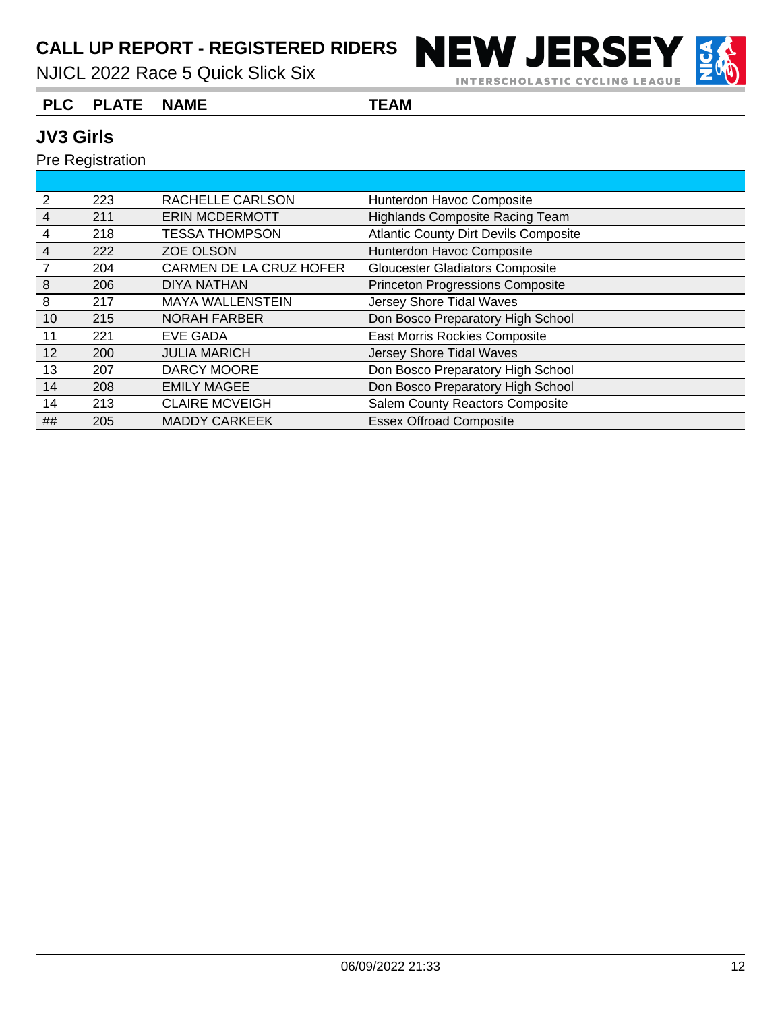CALL UP REPORT - REGISTERED RIDERS NEW JERSEY INTERSCHOLASTIC CYCLING LEAGUE



#### **PLC PLATE NAME TEAM**

### **JV3 Girls**

| 2              | 223 | RACHELLE CARLSON        | Hunterdon Havoc Composite                    |
|----------------|-----|-------------------------|----------------------------------------------|
| 4              | 211 | <b>ERIN MCDERMOTT</b>   | <b>Highlands Composite Racing Team</b>       |
| 4              | 218 | <b>TESSA THOMPSON</b>   | <b>Atlantic County Dirt Devils Composite</b> |
| $\overline{4}$ | 222 | <b>ZOE OLSON</b>        | Hunterdon Havoc Composite                    |
|                | 204 | CARMEN DE LA CRUZ HOFER | <b>Gloucester Gladiators Composite</b>       |
| 8              | 206 | DIYA NATHAN             | <b>Princeton Progressions Composite</b>      |
| 8              | 217 | <b>MAYA WALLENSTEIN</b> | Jersey Shore Tidal Waves                     |
| 10             | 215 | <b>NORAH FARBER</b>     | Don Bosco Preparatory High School            |
| 11             | 221 | <b>EVE GADA</b>         | <b>East Morris Rockies Composite</b>         |
| 12             | 200 | <b>JULIA MARICH</b>     | Jersey Shore Tidal Waves                     |
| 13             | 207 | <b>DARCY MOORE</b>      | Don Bosco Preparatory High School            |
| 14             | 208 | <b>EMILY MAGEE</b>      | Don Bosco Preparatory High School            |
| 14             | 213 | <b>CLAIRE MCVEIGH</b>   | <b>Salem County Reactors Composite</b>       |
| ##             | 205 | <b>MADDY CARKEEK</b>    | <b>Essex Offroad Composite</b>               |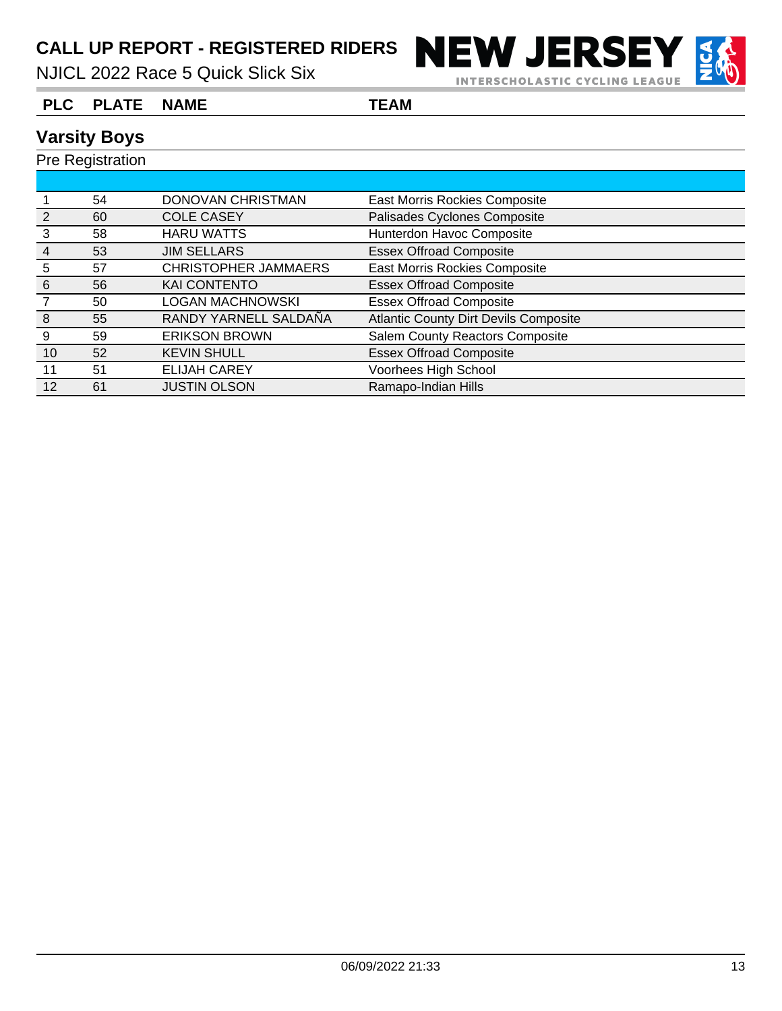

**INTERSCHOLASTIC CYCLING LEAGUE** 

# **PLC PLATE NAME TEAM**

## **Varsity Boys**

|    | 54 | DONOVAN CHRISTMAN           | East Morris Rockies Composite                |
|----|----|-----------------------------|----------------------------------------------|
|    | 60 | <b>COLE CASEY</b>           | Palisades Cyclones Composite                 |
| 3  | 58 | <b>HARU WATTS</b>           | Hunterdon Havoc Composite                    |
| 4  | 53 | <b>JIM SELLARS</b>          | <b>Essex Offroad Composite</b>               |
| 5  | 57 | <b>CHRISTOPHER JAMMAERS</b> | East Morris Rockies Composite                |
| 6  | 56 | <b>KAI CONTENTO</b>         | <b>Essex Offroad Composite</b>               |
|    | 50 | LOGAN MACHNOWSKI            | <b>Essex Offroad Composite</b>               |
| 8  | 55 | RANDY YARNELL SALDAÑA       | <b>Atlantic County Dirt Devils Composite</b> |
| 9  | 59 | <b>ERIKSON BROWN</b>        | <b>Salem County Reactors Composite</b>       |
| 10 | 52 | <b>KEVIN SHULL</b>          | <b>Essex Offroad Composite</b>               |
| 11 | 51 | <b>ELIJAH CAREY</b>         | Voorhees High School                         |
| 12 | 61 | <b>JUSTIN OLSON</b>         | Ramapo-Indian Hills                          |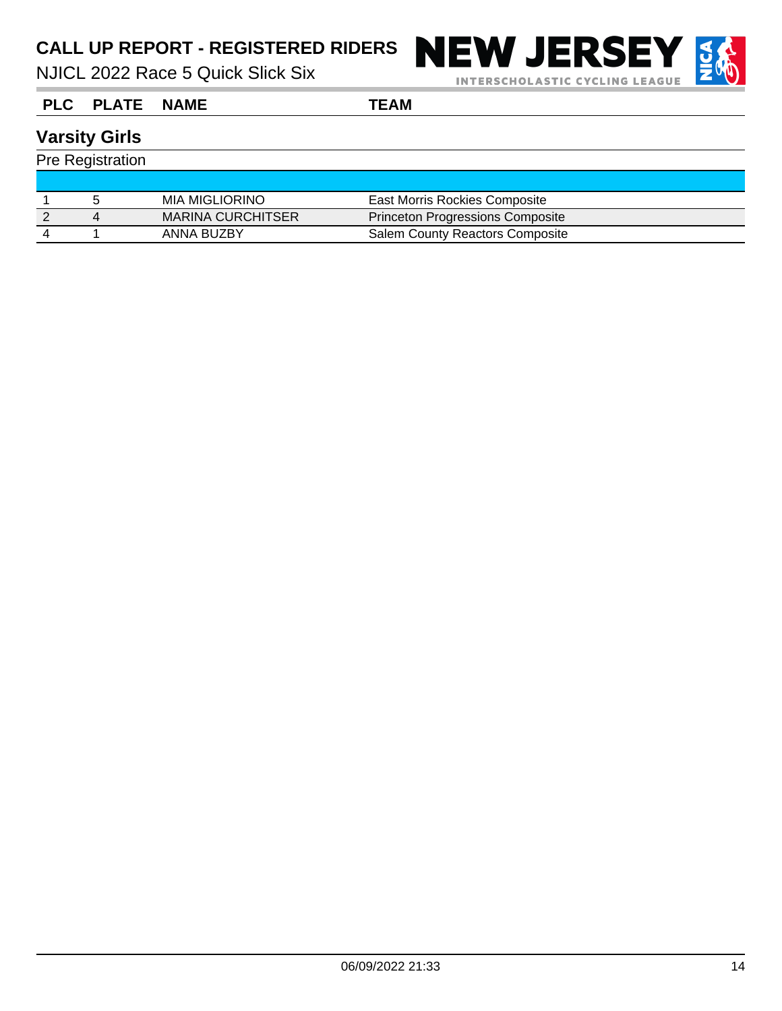CALL UP REPORT - REGISTERED RIDERS **NEW JERSEY** INTERSCHOLASTIC CYCLING LEAGUE

**PLC PLATE NAME TEAM**

## **Varsity Girls**

|  | <b>MIA MIGLIORINO</b>    | East Morris Rockies Composite          |
|--|--------------------------|----------------------------------------|
|  | <b>MARINA CURCHITSER</b> | Princeton Progressions Composite       |
|  | ANNA BUZBY               | <b>Salem County Reactors Composite</b> |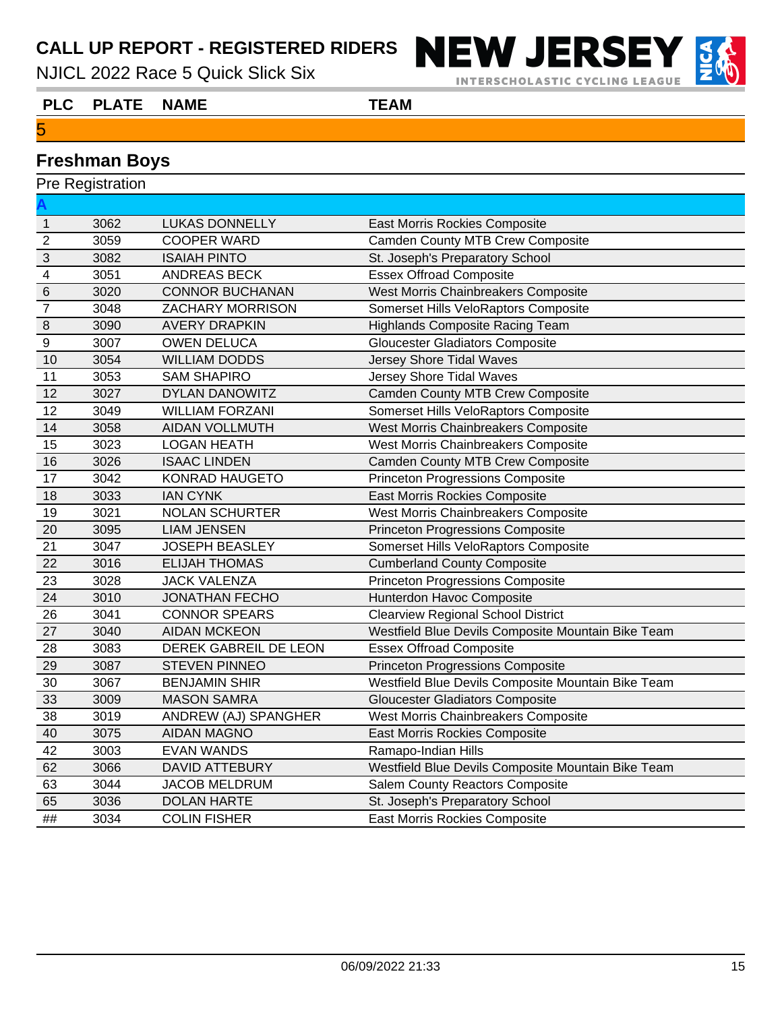NJICL 2022 Race 5 Quick Slick Six

**NEW JERSEY INTERSCHOLASTIC CYCLING LEAGUE** 

**PLC PLATE NAME TEAM**

#### **Freshman Boys**

| <b>Pre Registration</b> |      |                        |                                                    |
|-------------------------|------|------------------------|----------------------------------------------------|
|                         |      |                        |                                                    |
| $\overline{1}$          | 3062 | <b>LUKAS DONNELLY</b>  | East Morris Rockies Composite                      |
| $\overline{2}$          | 3059 | <b>COOPER WARD</b>     | <b>Camden County MTB Crew Composite</b>            |
| $\overline{3}$          | 3082 | <b>ISAIAH PINTO</b>    | St. Joseph's Preparatory School                    |
| $\overline{4}$          | 3051 | <b>ANDREAS BECK</b>    | <b>Essex Offroad Composite</b>                     |
| $\,$ 6                  | 3020 | <b>CONNOR BUCHANAN</b> | West Morris Chainbreakers Composite                |
| $\overline{7}$          | 3048 | ZACHARY MORRISON       | Somerset Hills VeloRaptors Composite               |
| 8                       | 3090 | <b>AVERY DRAPKIN</b>   | <b>Highlands Composite Racing Team</b>             |
| $\overline{9}$          | 3007 | <b>OWEN DELUCA</b>     | <b>Gloucester Gladiators Composite</b>             |
| 10                      | 3054 | <b>WILLIAM DODDS</b>   | Jersey Shore Tidal Waves                           |
| 11                      | 3053 | <b>SAM SHAPIRO</b>     | Jersey Shore Tidal Waves                           |
| 12                      | 3027 | <b>DYLAN DANOWITZ</b>  | <b>Camden County MTB Crew Composite</b>            |
| 12                      | 3049 | <b>WILLIAM FORZANI</b> | Somerset Hills VeloRaptors Composite               |
| 14                      | 3058 | <b>AIDAN VOLLMUTH</b>  | West Morris Chainbreakers Composite                |
| 15                      | 3023 | <b>LOGAN HEATH</b>     | West Morris Chainbreakers Composite                |
| 16                      | 3026 | <b>ISAAC LINDEN</b>    | <b>Camden County MTB Crew Composite</b>            |
| 17                      | 3042 | KONRAD HAUGETO         | <b>Princeton Progressions Composite</b>            |
| 18                      | 3033 | <b>IAN CYNK</b>        | East Morris Rockies Composite                      |
| 19                      | 3021 | <b>NOLAN SCHURTER</b>  | West Morris Chainbreakers Composite                |
| 20                      | 3095 | <b>LIAM JENSEN</b>     | <b>Princeton Progressions Composite</b>            |
| 21                      | 3047 | <b>JOSEPH BEASLEY</b>  | Somerset Hills VeloRaptors Composite               |
| 22                      | 3016 | <b>ELIJAH THOMAS</b>   | <b>Cumberland County Composite</b>                 |
| 23                      | 3028 | <b>JACK VALENZA</b>    | <b>Princeton Progressions Composite</b>            |
| 24                      | 3010 | <b>JONATHAN FECHO</b>  | Hunterdon Havoc Composite                          |
| 26                      | 3041 | <b>CONNOR SPEARS</b>   | <b>Clearview Regional School District</b>          |
| 27                      | 3040 | <b>AIDAN MCKEON</b>    | Westfield Blue Devils Composite Mountain Bike Team |
| 28                      | 3083 | DEREK GABREIL DE LEON  | <b>Essex Offroad Composite</b>                     |
| 29                      | 3087 | <b>STEVEN PINNEO</b>   | <b>Princeton Progressions Composite</b>            |
| 30                      | 3067 | <b>BENJAMIN SHIR</b>   | Westfield Blue Devils Composite Mountain Bike Team |
| 33                      | 3009 | <b>MASON SAMRA</b>     | <b>Gloucester Gladiators Composite</b>             |
| 38                      | 3019 | ANDREW (AJ) SPANGHER   | West Morris Chainbreakers Composite                |
| 40                      | 3075 | <b>AIDAN MAGNO</b>     | East Morris Rockies Composite                      |
| 42                      | 3003 | <b>EVAN WANDS</b>      | Ramapo-Indian Hills                                |
| 62                      | 3066 | DAVID ATTEBURY         | Westfield Blue Devils Composite Mountain Bike Team |
| 63                      | 3044 | <b>JACOB MELDRUM</b>   | Salem County Reactors Composite                    |
| 65                      | 3036 | <b>DOLAN HARTE</b>     | St. Joseph's Preparatory School                    |
| ##                      | 3034 | <b>COLIN FISHER</b>    | <b>East Morris Rockies Composite</b>               |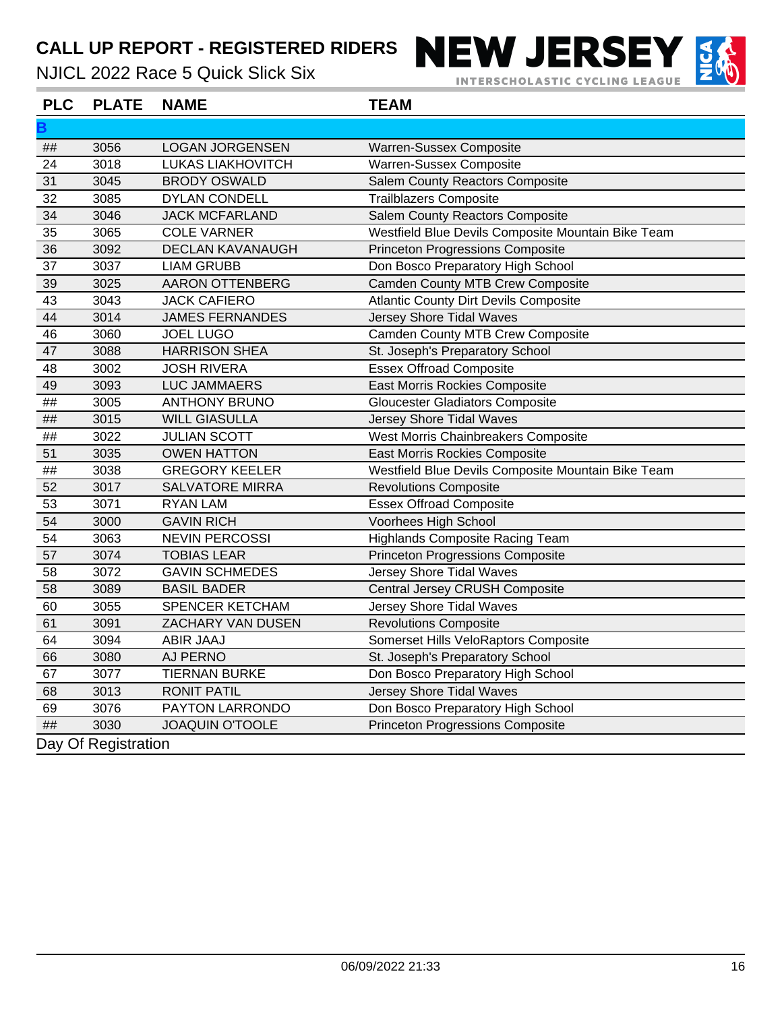NJICL 2022 Race 5 Quick Slick Six





| <b>PLC</b> | <b>PLATE</b> | <b>NAME</b>              | <b>TEAM</b>                                        |  |
|------------|--------------|--------------------------|----------------------------------------------------|--|
| В          |              |                          |                                                    |  |
| ##         | 3056         | <b>LOGAN JORGENSEN</b>   | <b>Warren-Sussex Composite</b>                     |  |
| 24         | 3018         | <b>LUKAS LIAKHOVITCH</b> | Warren-Sussex Composite                            |  |
| 31         | 3045         | <b>BRODY OSWALD</b>      | <b>Salem County Reactors Composite</b>             |  |
| 32         | 3085         | <b>DYLAN CONDELL</b>     | <b>Trailblazers Composite</b>                      |  |
| 34         | 3046         | <b>JACK MCFARLAND</b>    | <b>Salem County Reactors Composite</b>             |  |
| 35         | 3065         | <b>COLE VARNER</b>       | Westfield Blue Devils Composite Mountain Bike Team |  |
| 36         | 3092         | DECLAN KAVANAUGH         | <b>Princeton Progressions Composite</b>            |  |
| 37         | 3037         | <b>LIAM GRUBB</b>        | Don Bosco Preparatory High School                  |  |
| 39         | 3025         | <b>AARON OTTENBERG</b>   | <b>Camden County MTB Crew Composite</b>            |  |
| 43         | 3043         | <b>JACK CAFIERO</b>      | <b>Atlantic County Dirt Devils Composite</b>       |  |
| 44         | 3014         | <b>JAMES FERNANDES</b>   | Jersey Shore Tidal Waves                           |  |
| 46         | 3060         | <b>JOEL LUGO</b>         | <b>Camden County MTB Crew Composite</b>            |  |
| 47         | 3088         | <b>HARRISON SHEA</b>     | St. Joseph's Preparatory School                    |  |
| 48         | 3002         | <b>JOSH RIVERA</b>       | <b>Essex Offroad Composite</b>                     |  |
| 49         | 3093         | <b>LUC JAMMAERS</b>      | <b>East Morris Rockies Composite</b>               |  |
| ##         | 3005         | <b>ANTHONY BRUNO</b>     | <b>Gloucester Gladiators Composite</b>             |  |
| ##         | 3015         | <b>WILL GIASULLA</b>     | Jersey Shore Tidal Waves                           |  |
| ##         | 3022         | <b>JULIAN SCOTT</b>      | West Morris Chainbreakers Composite                |  |
| 51         | 3035         | <b>OWEN HATTON</b>       | <b>East Morris Rockies Composite</b>               |  |
| ##         | 3038         | <b>GREGORY KEELER</b>    | Westfield Blue Devils Composite Mountain Bike Team |  |
| 52         | 3017         | <b>SALVATORE MIRRA</b>   | <b>Revolutions Composite</b>                       |  |
| 53         | 3071         | <b>RYAN LAM</b>          | <b>Essex Offroad Composite</b>                     |  |
| 54         | 3000         | <b>GAVIN RICH</b>        | Voorhees High School                               |  |
| 54         | 3063         | <b>NEVIN PERCOSSI</b>    | <b>Highlands Composite Racing Team</b>             |  |
| 57         | 3074         | <b>TOBIAS LEAR</b>       | <b>Princeton Progressions Composite</b>            |  |
| 58         | 3072         | <b>GAVIN SCHMEDES</b>    | <b>Jersey Shore Tidal Waves</b>                    |  |
| 58         | 3089         | <b>BASIL BADER</b>       | Central Jersey CRUSH Composite                     |  |
| 60         | 3055         | SPENCER KETCHAM          | Jersey Shore Tidal Waves                           |  |
| 61         | 3091         | ZACHARY VAN DUSEN        | <b>Revolutions Composite</b>                       |  |
| 64         | 3094         | ABIR JAAJ                | Somerset Hills VeloRaptors Composite               |  |
| 66         | 3080         | AJ PERNO                 | St. Joseph's Preparatory School                    |  |
| 67         | 3077         | <b>TIERNAN BURKE</b>     | Don Bosco Preparatory High School                  |  |
| 68         | 3013         | <b>RONIT PATIL</b>       | Jersey Shore Tidal Waves                           |  |
| 69         | 3076         | PAYTON LARRONDO          | Don Bosco Preparatory High School                  |  |
| ##         | 3030         | <b>JOAQUIN O'TOOLE</b>   | <b>Princeton Progressions Composite</b>            |  |
|            |              | Day Of Registration      |                                                    |  |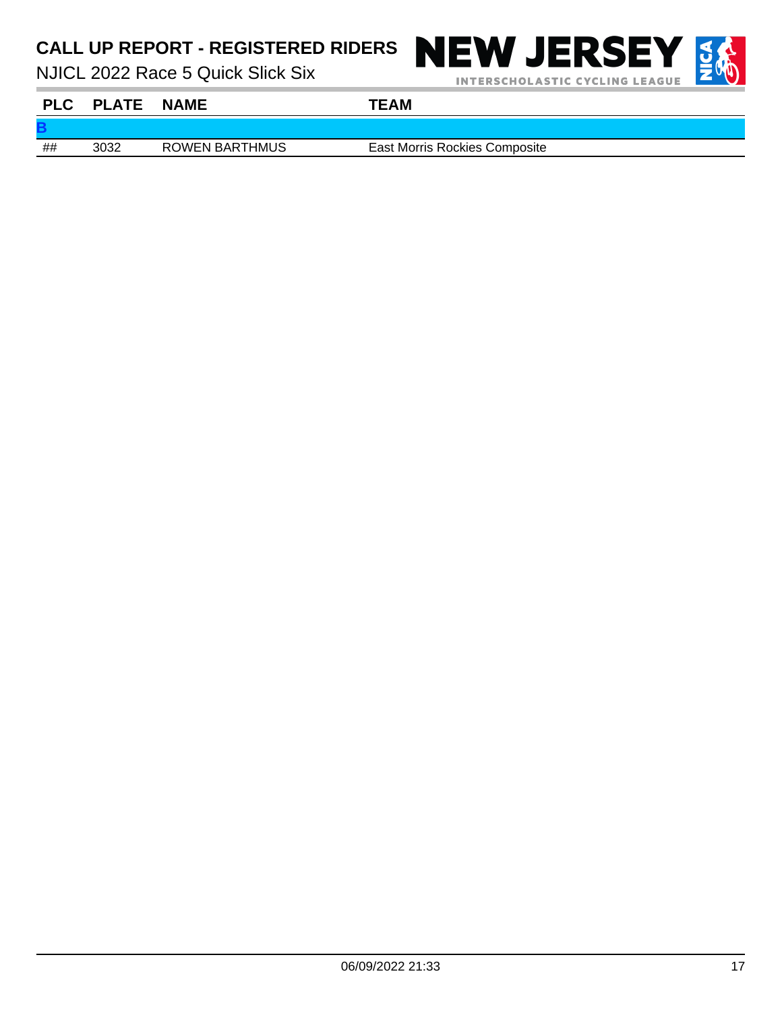NJICL 2022 Race 5 Quick Slick Six

NEW JERSEY



| <b>PLC</b> | <b>PLATE</b> | <b>NAME</b>           | <b>TEAM</b>                          |
|------------|--------------|-----------------------|--------------------------------------|
|            |              |                       |                                      |
| ##         | 3032         | <b>ROWEN BARTHMUS</b> | <b>East Morris Rockies Composite</b> |
|            |              |                       |                                      |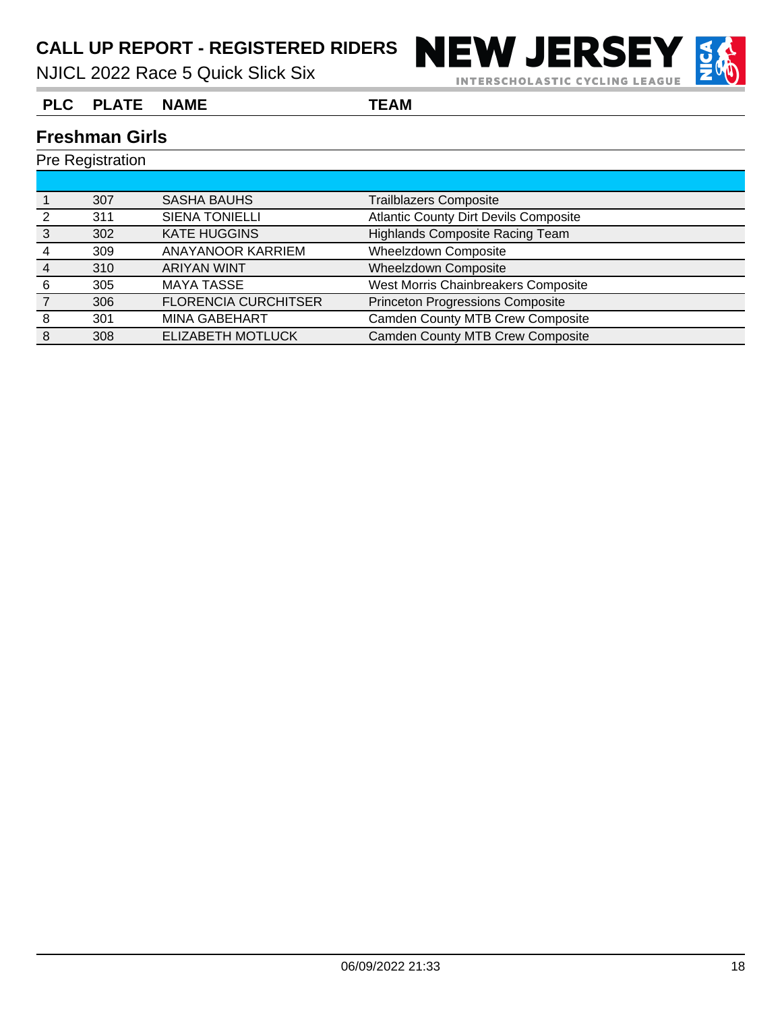

INTERSCHOLASTIC CYCLING LEAGUE



**PLC PLATE NAME TEAM**

### **Freshman Girls**

|   | 307 | <b>SASHA BAUHS</b>          | <b>Trailblazers Composite</b>                |
|---|-----|-----------------------------|----------------------------------------------|
|   | 311 | <b>SIENA TONIELLI</b>       | <b>Atlantic County Dirt Devils Composite</b> |
| 3 | 302 | <b>KATE HUGGINS</b>         | <b>Highlands Composite Racing Team</b>       |
|   | 309 | ANAYANOOR KARRIEM           | Wheelzdown Composite                         |
|   | 310 | <b>ARIYAN WINT</b>          | <b>Wheelzdown Composite</b>                  |
| 6 | 305 | <b>MAYA TASSE</b>           | West Morris Chainbreakers Composite          |
|   | 306 | <b>FLORENCIA CURCHITSER</b> | <b>Princeton Progressions Composite</b>      |
|   | 301 | <b>MINA GABEHART</b>        | <b>Camden County MTB Crew Composite</b>      |
| 8 | 308 | <b>ELIZABETH MOTLUCK</b>    | <b>Camden County MTB Crew Composite</b>      |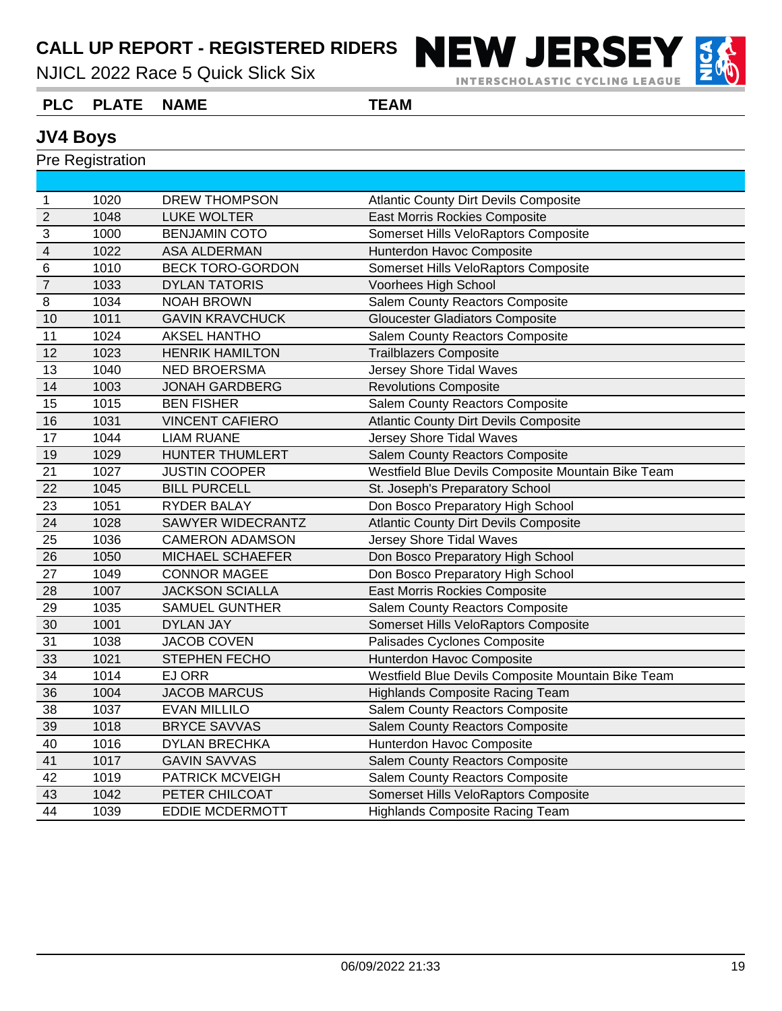# CALL UP REPORT - REGISTERED RIDERS **NEW JERSEY**

NJICL 2022 Race 5 Quick Slick Six

**PLC PLATE NAME TEAM**

### **JV4 Boys**

Pre Registration

| 1              | 1020 | <b>DREW THOMPSON</b>    | <b>Atlantic County Dirt Devils Composite</b>       |
|----------------|------|-------------------------|----------------------------------------------------|
| $\overline{2}$ | 1048 | <b>LUKE WOLTER</b>      | East Morris Rockies Composite                      |
| $\sqrt{3}$     | 1000 | <b>BENJAMIN COTO</b>    | Somerset Hills VeloRaptors Composite               |
| $\overline{4}$ | 1022 | <b>ASA ALDERMAN</b>     | Hunterdon Havoc Composite                          |
| $\overline{6}$ | 1010 | <b>BECK TORO-GORDON</b> | Somerset Hills VeloRaptors Composite               |
| $\overline{7}$ | 1033 | <b>DYLAN TATORIS</b>    | Voorhees High School                               |
| 8              | 1034 | <b>NOAH BROWN</b>       | Salem County Reactors Composite                    |
| 10             | 1011 | <b>GAVIN KRAVCHUCK</b>  | <b>Gloucester Gladiators Composite</b>             |
| 11             | 1024 | <b>AKSEL HANTHO</b>     | Salem County Reactors Composite                    |
| 12             | 1023 | <b>HENRIK HAMILTON</b>  | <b>Trailblazers Composite</b>                      |
| 13             | 1040 | <b>NED BROERSMA</b>     | Jersey Shore Tidal Waves                           |
| 14             | 1003 | <b>JONAH GARDBERG</b>   | <b>Revolutions Composite</b>                       |
| 15             | 1015 | <b>BEN FISHER</b>       | <b>Salem County Reactors Composite</b>             |
| 16             | 1031 | <b>VINCENT CAFIERO</b>  | <b>Atlantic County Dirt Devils Composite</b>       |
| 17             | 1044 | <b>LIAM RUANE</b>       | Jersey Shore Tidal Waves                           |
| 19             | 1029 | HUNTER THUMLERT         | <b>Salem County Reactors Composite</b>             |
| 21             | 1027 | <b>JUSTIN COOPER</b>    | Westfield Blue Devils Composite Mountain Bike Team |
| 22             | 1045 | <b>BILL PURCELL</b>     | St. Joseph's Preparatory School                    |
| 23             | 1051 | <b>RYDER BALAY</b>      | Don Bosco Preparatory High School                  |
| 24             | 1028 | SAWYER WIDECRANTZ       | <b>Atlantic County Dirt Devils Composite</b>       |
| 25             | 1036 | <b>CAMERON ADAMSON</b>  | Jersey Shore Tidal Waves                           |
| 26             | 1050 | MICHAEL SCHAEFER        | Don Bosco Preparatory High School                  |
| 27             | 1049 | <b>CONNOR MAGEE</b>     | Don Bosco Preparatory High School                  |
| 28             | 1007 | <b>JACKSON SCIALLA</b>  | <b>East Morris Rockies Composite</b>               |
| 29             | 1035 | <b>SAMUEL GUNTHER</b>   | Salem County Reactors Composite                    |
| 30             | 1001 | <b>DYLAN JAY</b>        | Somerset Hills VeloRaptors Composite               |
| 31             | 1038 | <b>JACOB COVEN</b>      | Palisades Cyclones Composite                       |
| 33             | 1021 | STEPHEN FECHO           | Hunterdon Havoc Composite                          |
| 34             | 1014 | <b>EJ ORR</b>           | Westfield Blue Devils Composite Mountain Bike Team |
| 36             | 1004 | <b>JACOB MARCUS</b>     | <b>Highlands Composite Racing Team</b>             |
| 38             | 1037 | <b>EVAN MILLILO</b>     | Salem County Reactors Composite                    |
| 39             | 1018 | <b>BRYCE SAVVAS</b>     | Salem County Reactors Composite                    |
| 40             | 1016 | <b>DYLAN BRECHKA</b>    | Hunterdon Havoc Composite                          |
| 41             | 1017 | <b>GAVIN SAVVAS</b>     | Salem County Reactors Composite                    |
| 42             | 1019 | PATRICK MCVEIGH         | Salem County Reactors Composite                    |
| 43             | 1042 | PETER CHILCOAT          | Somerset Hills VeloRaptors Composite               |
| 44             | 1039 | <b>EDDIE MCDERMOTT</b>  | <b>Highlands Composite Racing Team</b>             |



**INTERSCHOLASTIC CYCLING LEAGUE**